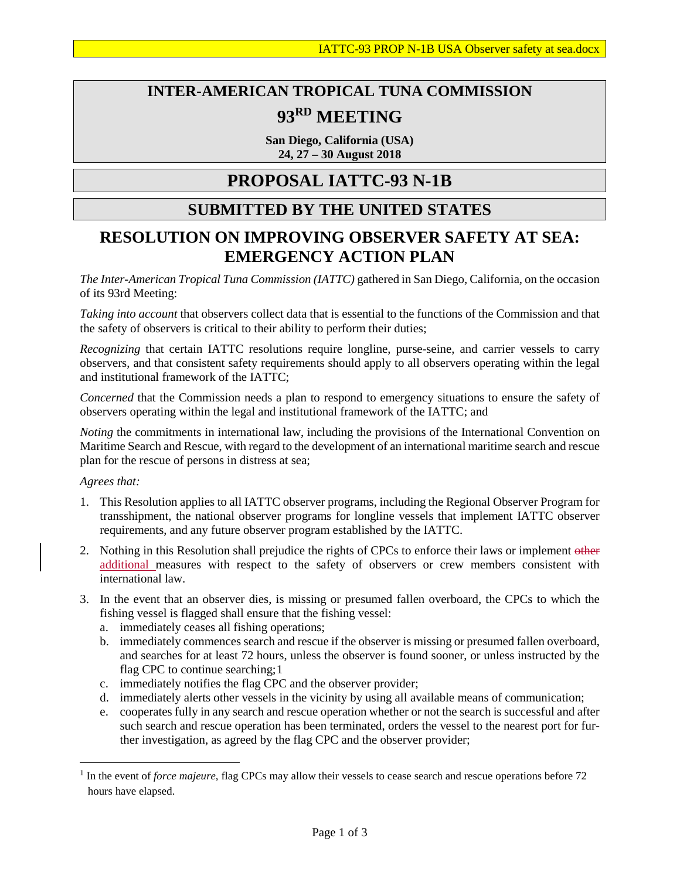# **INTER-AMERICAN TROPICAL TUNA COMMISSION 93RD MEETING**

**San Diego, California (USA) 24, 27 – 30 August 2018**

## **PROPOSAL IATTC-93 N-1B**

#### **SUBMITTED BY THE UNITED STATES**

### **RESOLUTION ON IMPROVING OBSERVER SAFETY AT SEA: EMERGENCY ACTION PLAN**

*The Inter-American Tropical Tuna Commission (IATTC)* gathered in San Diego, California, on the occasion of its 93rd Meeting:

*Taking into account* that observers collect data that is essential to the functions of the Commission and that the safety of observers is critical to their ability to perform their duties;

*Recognizing* that certain IATTC resolutions require longline, purse-seine, and carrier vessels to carry observers, and that consistent safety requirements should apply to all observers operating within the legal and institutional framework of the IATTC;

*Concerned* that the Commission needs a plan to respond to emergency situations to ensure the safety of observers operating within the legal and institutional framework of the IATTC; and

*Noting* the commitments in international law, including the provisions of the International Convention on Maritime Search and Rescue, with regard to the development of an international maritime search and rescue plan for the rescue of persons in distress at sea;

#### *Agrees that:*

 $\overline{a}$ 

- 1. This Resolution applies to all IATTC observer programs, including the Regional Observer Program for transshipment, the national observer programs for longline vessels that implement IATTC observer requirements, and any future observer program established by the IATTC.
- 2. Nothing in this Resolution shall prejudice the rights of CPCs to enforce their laws or implement other additional measures with respect to the safety of observers or crew members consistent with international law.
- 3. In the event that an observer dies, is missing or presumed fallen overboard, the CPCs to which the fishing vessel is flagged shall ensure that the fishing vessel:
	- a. immediately ceases all fishing operations;
	- b. immediately commences search and rescue if the observer is missing or presumed fallen overboard, and searches for at least 72 hours, unless the observer is found sooner, or unless instructed by the flag CPC to continue searching;[1](#page-0-0)
	- c. immediately notifies the flag CPC and the observer provider;
	- d. immediately alerts other vessels in the vicinity by using all available means of communication;
	- e. cooperates fully in any search and rescue operation whether or not the search is successful and after such search and rescue operation has been terminated, orders the vessel to the nearest port for further investigation, as agreed by the flag CPC and the observer provider;

<span id="page-0-0"></span><sup>1</sup> In the event of *force majeure*, flag CPCs may allow their vessels to cease search and rescue operations before 72 hours have elapsed.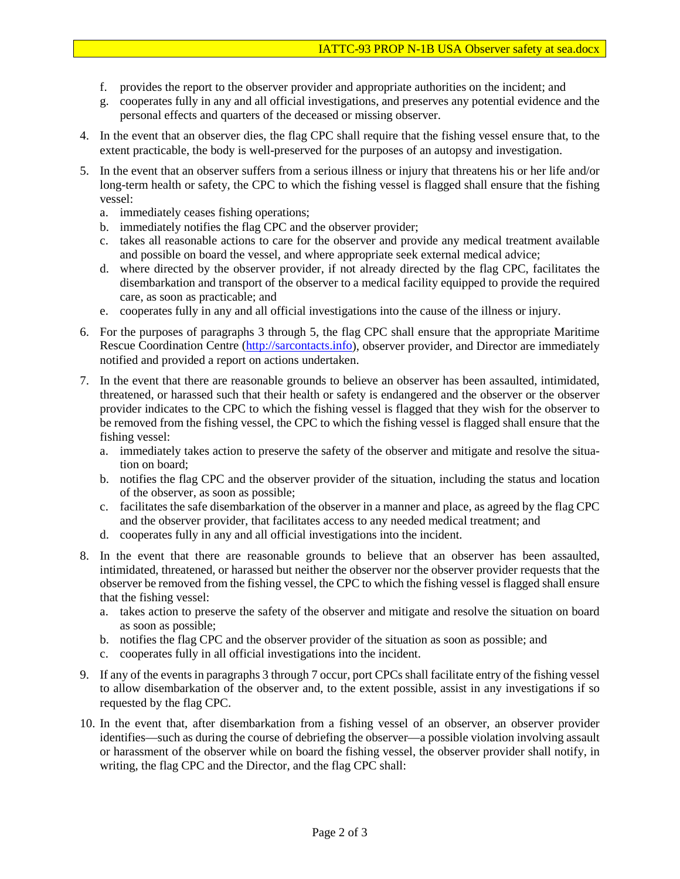- f. provides the report to the observer provider and appropriate authorities on the incident; and
- g. cooperates fully in any and all official investigations, and preserves any potential evidence and the personal effects and quarters of the deceased or missing observer.
- 4. In the event that an observer dies, the flag CPC shall require that the fishing vessel ensure that, to the extent practicable, the body is well-preserved for the purposes of an autopsy and investigation.
- 5. In the event that an observer suffers from a serious illness or injury that threatens his or her life and/or long-term health or safety, the CPC to which the fishing vessel is flagged shall ensure that the fishing vessel:
	- a. immediately ceases fishing operations;
	- b. immediately notifies the flag CPC and the observer provider;
	- c. takes all reasonable actions to care for the observer and provide any medical treatment available and possible on board the vessel, and where appropriate seek external medical advice;
	- d. where directed by the observer provider, if not already directed by the flag CPC, facilitates the disembarkation and transport of the observer to a medical facility equipped to provide the required care, as soon as practicable; and
	- e. cooperates fully in any and all official investigations into the cause of the illness or injury.
- 6. For the purposes of paragraphs 3 through 5, the flag CPC shall ensure that the appropriate Maritime Rescue Coordination Centre [\(http://sarcontacts.info\)](http://sarcontacts.info/), observer provider, and Director are immediately notified and provided a report on actions undertaken.
- 7. In the event that there are reasonable grounds to believe an observer has been assaulted, intimidated, threatened, or harassed such that their health or safety is endangered and the observer or the observer provider indicates to the CPC to which the fishing vessel is flagged that they wish for the observer to be removed from the fishing vessel, the CPC to which the fishing vessel is flagged shall ensure that the fishing vessel:
	- a. immediately takes action to preserve the safety of the observer and mitigate and resolve the situation on board;
	- b. notifies the flag CPC and the observer provider of the situation, including the status and location of the observer, as soon as possible;
	- c. facilitates the safe disembarkation of the observer in a manner and place, as agreed by the flag CPC and the observer provider, that facilitates access to any needed medical treatment; and
	- d. cooperates fully in any and all official investigations into the incident.
- 8. In the event that there are reasonable grounds to believe that an observer has been assaulted, intimidated, threatened, or harassed but neither the observer nor the observer provider requests that the observer be removed from the fishing vessel, the CPC to which the fishing vessel is flagged shall ensure that the fishing vessel:
	- a. takes action to preserve the safety of the observer and mitigate and resolve the situation on board as soon as possible;
	- b. notifies the flag CPC and the observer provider of the situation as soon as possible; and
	- c. cooperates fully in all official investigations into the incident.
- 9. If any of the events in paragraphs 3 through 7 occur, port CPCs shall facilitate entry of the fishing vessel to allow disembarkation of the observer and, to the extent possible, assist in any investigations if so requested by the flag CPC.
- 10. In the event that, after disembarkation from a fishing vessel of an observer, an observer provider identifies—such as during the course of debriefing the observer—a possible violation involving assault or harassment of the observer while on board the fishing vessel, the observer provider shall notify, in writing, the flag CPC and the Director, and the flag CPC shall: